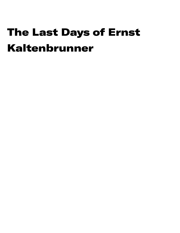# The Last Days of Ernst Kaltenbrunner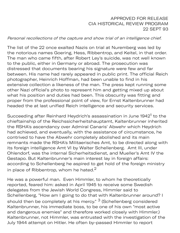#### APPROVED FOR RELEASE CIA HISTORICAL REVIEW PROGRAM 22 SEPT 93

#### Personal recollections of the capture and show trial of an intelligence chief.

The list of the 22 once exalted Nazis on trial at Nuremberg was led by the notorious names Goering, Hess, Ribbentrop, and Keitel, in that order. The man who came fifth, after Robert Ley's suicide, was not well known to the public, either in Germany or abroad. The prosecution was distressed that documents bearing his signature were few and far between. His name had rarely appeared in public print. The official Reich photographer, Heinrich Hoffman, had been unable to find in his extensive collection a likeness of the man. The press kept running some other Nazi official's photo to represent him and getting mixed up about what his position and duties had been. This obscurity was fitting and proper from the professional point of view, for Ernst Kaltenbrunner had headed the at last unified Reich intelligence and security services.

Succeeding after Reinhard Heydrich's assassination in June 1942<sup>1</sup> to the chieftainship of the Reichssicherheitshauptamt, Kaltenbrunner inherited the RSHA's ascendancy over Admiral Canaris' Abwehr which Heydrich had achieved, and eventually, with the assistance of circumstance, he contrived to have the Abwehr completely abolished and its main remnants made the RSHA's Militaerisches Amt, to be directed along with its foreign intelligence Amt VI by Walter Schellenberg. Amt III, under Ohlendorf, was the internal Sicherheitsdienst, and Mueller's Amt IV the Gestapo. But Kaltenbrunner's main interest lay in foreign affairs: according to Schellenberg he aspired to get hold of the foreign ministry in place of Ribbentrop, whom he hated. $2$ 

He was a powerful man. Even Himmler, to whom he theoretically reported, feared him: asked in April 1945 to receive some Swedish delegates from the Jewish World Congress, Himmler said to Schellenberg, "How am I going to do that with Kaltenbrunner around? I should then be completely at his mercy." <sup>3</sup> (Schellenberg considered Kaltenbrunner, his immediate boss, to be one of his own "most active and dangerous enemies" and therefore worked closely with Himmler.) Kaltenbrunner, not Himmler, was entrusted with the investigation of the July 1944 attempt on Hitler. He often by-passed Himmler to report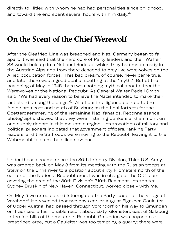directly to Hitler, with whom he had had personal ties since childhood, and toward the end spent several hours with him daily.<sup>4</sup>

### **On the Scent of the Chief Werewolf**

After the Siegfried Line was breached and Nazi Germany began to fall apart, it was said that the hard core of Party leaders and their Waffen SS would hole up in a National Redoubt which they had made ready in the Austrian Alps and from there descend to prey like werewolves on the Allied occupation forces. This bad dream, of course, never came true, and later there was a good deal of scoffing at the "myth." But at the beginning of May in 1945 there was nothing mythical about either the Werewolves or the National Redoubt. As General Walter Bedell Smith said, "We had every reason to believe the Nazis intended to make their last stand among the crags."<sup>5</sup> All of our intelligence pointed to the Alpine area east and south of Salzburg as the final fortress for the Goetterdaemmerung of the remaining Nazi fanatics. Reconnaissance photographs showed that they were installing bunkers and ammunition and supply depots in this mountain region. Interrogations of military and political prisoners indicated that government officers, ranking Party leaders, and the SS troops were moving to the Redoubt, leaving it to the Wehrmacht to stem the allied advance.

Under these circumstances the 80th Infantry Division, Third U.S. Army, was ordered back on May 3 from its meeting with the Russian troops at Steyr on the Enns river to a position about sixty kilometers north of the center of the National Redoubt area. I was in charge of the CIC team covering the area of the 80th Division's 319th Regiment. Interpreter Sydney Bruskin of New Haven, Connecticut, worked closely with me.

On May 5 we arrested and interrogated the Party leader of the village of Vorchdorf. He revealed that two days earlier August Eigruber, Gauleiter of Upper Austria, had passed through Vorchdorf on his way to Gmunden on Traunsee, a fashionable resort about sixty kilometers east of Salzburg in the foothills of the mountain Redoubt. Gmunden was beyond our prescribed area, but a Gauleiter was too tempting a quarry; there were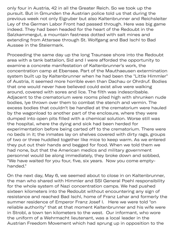only four in Austria, 42 in all the Greater Reich. So we took up the pursuit. But in Gmunden the Austrian police told us that during the previous week not only Eigruber but also Kaltenbrunner and Reichsleiter Ley of the German Labor Front had passed through. Here was big game indeed. They had been headed for the heart of the Redoubt in the Salzkammergut, a mountain fastness dotted with salt mines and extending from Attersee through St. Wolfgang and Bad Ischl to Bad Aussee in the Steiermark.

Proceeding the same day up the long Traunsee shore into the Redoubt area with a tank battalion, Sid and I were afforded the opportunity to examine a concrete manifestation of Kaltenbrunner's work, the concentration camp at Ebensee. Part of the Mauthaeusen extermination system built up by Kaltenbrunner when he had been the "Little Himmler" of Austria, it seemed more horrible even than Dachau or Ohrdruf. Bodies that one would never have believed could exist alive were walking around, covered with sores and lice. The filth was indescribable. Adjacent to the crematorium were rooms piled high with shrunken nude bodies, lye thrown over them to combat the stench and vermin. The excess bodies that couldn't be handled at the crematorium were hauled by the wagonload to another part of the enclosure, where they were dumped into open pits filled with a chemical solution. Worse still was the hospital, where the dying and sick had been herded for experimentation before being carted off to the crematorium. There were no beds in it; the inmates lay on shelves covered with dirty rags, groups of two or three huddled together like mice to keep warm. As we entered they put out their hands and begged for food. When we told them we had none, but that the American medics and military government personnel would be along immediately, they broke down and sobbed, "We have waited for you four, five, six years. Now you come emptyhanded."

On the next day, May 6, we seemed about to close in on Kaltenbrunner, the man who shared with Himmler and SSI General Poehl responsibility for the whole system of Nazi concentration camps. We had pushed sixteen kilometers into the Redoubt without encountering any sign of resistance and reached Bad Ischl, home of Franz Lehar and formerly the summer residence of Emperor Franz Josef I. Here we were told "on reliable authority" that at that moment Kaltenbrunner and his wife were in Strobl, a town ten kilometers to the west. Our informant, who wore the uniform of a Wehrmacht lieutenant, was a local leader in the Austrian Freedom Movement which had sprung up in opposition to the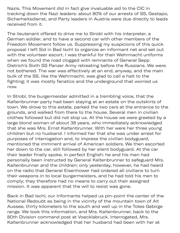d sprung up in opp Nazis. This Movement did in fact give invaluable aid to the CIC in tracking down the Nazi leaders: about 80% of our arrests of SS, Gestapo, Sicherheitsdienst, and Party leaders in Austria were due directly to leads received from it.

The lieutenant offered to drive me to Strobl with his interpreter, a German soldier, and to have a second car with other members of the Freedom Movement follow us. Suppressing my suspicions of this quick proposal I left Sid in Bad Ischl to organize an informant net and set out with the volunteer escort. I was thankful for their Wehrmacht uniforms when we found the road clogged with remnants of General Sepp Dietrich's Sixth SS Panzer Army retreating before the Russians. We were not bothered. The war was effectively at an end, anyway, and the main bulk of the SS, like the Wehrmacht, was glad to call a halt to the fighting; it was mostly fanatics and the underground that worried us now.

In Strobl, the burgermeister admitted in a trembling voice, that the Kaltenbrunner party had been staying at an estate on the outskirts of town. We drove to this estate, parked the two cars at the entrance to the grounds, and walked from there to the house. Several men in civilian clothes followed but did not stop us. At the house we were greeted by a large blond woman of about 38 years, who immediately acknowledged that she was Mrs. Ernst Kaltenbrunner. With her were her three young children but no husband. I informed her that she was under arrest for purposes of interrogation and, to impress the civilian bodyguard, mentioned the imminent arrival of American soldiers. We then escorted her down to the car, still followed by her silent bodyguard. At the car their leader finally spoke, in perfect English: he and his men had personally been instructed by General Kaltenbrunner to safeguard Mrs. Kaltenbrunner and the children; only yesterday, however, he had heard on the radio that General Eisenhower had ordered all civilians to turn their weapons in to local burgermeisters, and he had told his men to comply; they therefore had no means to carry out their assigned mission. It was apparent that the will to resist was gone.

Back in Bad Ischl, our informants helped us pin-point the center of the National Redoubt as being in the vicinity of the mountain town of Alt Aussee, thirty kilometers to the south and well up in the Totes Gebirge range. We took this information, and Mrs. Kaltenbrunner, back to the 80th Division command post at Voecklabruck. Interrogated, Mrs. Kaltenbrunner acknowledged that her husband had been with her at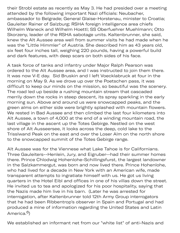their Strobl estate as recently as May 3. He had presided over a meeting attended by the following important Nazi officials: Neubacher, ambassador to Belgrade; General Glaise-Horstenau, minister to Croatia; Gauleiter Rainer of Salzburg; RSHA foreign intelligence area chiefs Wilhelm Waneck and Wilhelm Hoettl; SS Oberfuehrer Muehlmann; Otto Skorzeny, leader of the RSHA sabotage units. Kaltenbrunner, she said, knew the Alt Aussee area well from summer visits he had made when he was the "Little Himmler" of Austria. She described him as 43 years old, six feet four inches tall, weighing 220 pounds, having a powerful build and dark features, with deep scars on both sides of his face.

A task force of tanks and infantry under Major Ralph Pearson was ordered to the Alt Aussee area, and I was instructed to join them there. It was now V-E day. Sid Bruskin and I left Voecklabruck at four in the morning on May 9. As we drove up over the Poetschen pass, it was difficult to keep our minds on the mission, so beautiful was the scenery. The road led up beside a rushing mountain stream that cascaded merrily down the rocks in steep descent, its spray sparkling in the early morning sun. Above and around us were snowcapped peaks, and the green alms on either side were brightly splashed with mountain flowers. We rested in Bad Aussee and then climbed the last four kilometers into Alt Aussee, a town of 4,000 at the end of a winding mountain road, the last village in the ascent up the Totes Gebirge. Nestled on the west shore of Alt Ausseersee, it looks across the deep, cold lake to the Trisslwand Peak on the east and over the Loser Alm on the north shore to the snowcapped summit of the Totes Gebirge range.

Alt Aussee was for the Viennese what Lake Tahoe is for Californians. Three Gauleiters--Henlein, Jury, and Eigruber--had their summer homes there. Prince Chlodwig Hohenlohe-Schillingsfurst, the largest landowner in the Salzkammergut, was born and now lived there. Prince Hohenlohe, who had lived for a decade in New York with an American wife, made transparent attempts to ingratiate himself with us. He got us living quarters in the Hotel Eibl and offices in one of his villas down the street. He invited us to tea and apologized for his poor hospitality, saying that the Nazis made him live in his barn. (Later he was arrested for interrogation, after Kaltenbrunner told 12th Army Group interrogators that he had been Ribbentrop's observer in Spain and Portugal and had produced a mine of information regarding the United States and Latin America.<sup>6</sup>)

We established an informant net from our "white list" of anti-Nazis and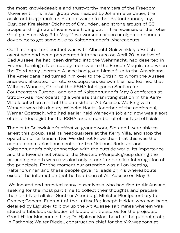the most knowledgeable and trustworthy members of the Freedom Movement. This latter group was headed by Johann Brandauer, the assistant burgermeister. Rumors were rife that Kaltenbrunner, Ley, Eigruber, Kreisleiter Stichnot of Gmunden, and strong groups of SS troops and high SS officers were hiding out in the recesses of the Totes Gebirge. From May 9 to May 11 we worked sixteen or eighteen hours a day trying to get some clue to Kaltenbrunner's whereabouts.

Our first important contact was with Albrecht Gaiswinkler, a British agent who had been parachuted into the area on April 20. A native of Bad Aussee, he had been drafted into the Wehrmacht, had deserted in France, turning a Nazi supply train over to the French Maquis, and when the Third Army liberated Alsace had given himself up to the Americans. The Americans had turned him over to the British, to whom the Aussee area was allocated for future occupation. Gaiswinkler had learned that Wilhelm Waneck, Chief of the RSHA Intelligence Section for Southeastern Europe--and one of Kaltenbrunner's May 3 conferees at Strobl--was now operating a wireless transmitting station in the Kerry Villa located on a hill at the outskirts of Alt Aussee. Working with Waneck were his deputy, Wilhelm Hoettl, (another of the conferees), Werner Goettsch, who had earlier held Waneck's job and now was a sort of chief ideologist for the RSHA, and a number of other Nazi officials.

Thanks to Gaiswinkler's effective groundwork, Sid and I were able to arrest this group, seal its headquarters at the Kerry Villa, and stop the operation of its transmitter. We did not know then that this was the central communications center for the National Redoubt and Kaltenbrunner's only connection with the outside world; its importance and the feverish activities of the Goettsch-Waneck group during the preceding month were revealed only later after detailed interrogation of the principals. For the moment our attention was all on locating Kaltenbrunner, and these people gave no leads on his whereabouts except the information that he had been at Alt Aussee on May 3.

 We located and arrested many lesser Nazis who had fled to Alt Aussee, seeking for the most part time to collect their thoughts and prepare their anti-Nazi alibis--Gunther Altenburg, Minister Plenipotentiary to Greece; General Erich Alt of the Luftwaffe; Joseph Heider, who had been detailed by Eigruber to blow up the Alt Aussee salt mines wherein was stored a fabulous collection of looted art treasures for the projected Great Hitler Museum in Linz; Dr. Hjalmar Mae, head of the puppet state in Esthonia; Walter Riedel, construction chief for the V-2 weapons at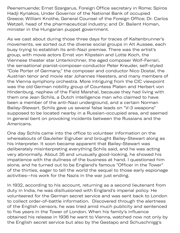Peenemuende; Ernst Szargarus, Foreign Office secretary in Rome; Spiros Hadji Kyriakos, Under Governor of the National Bank of occupied Greece; William Knothe, General Counsel of the Foreign Office; Dr. Carlos Wetzell, head of the pharmaceutical industry; and Dr. Bailent Homan, minister in the Hungarian puppet government.

As we cast about during those three days for traces of Kaltenbrunner's movements, we sorted out the diverse social groups in Alt Aussee, each busy trying to establish its anti-Nazi premise. There was the artist's group, with movie actors Ernst von Klipstein and Lotte Koch, the Viennese theater star Unterkirchner, the aged composer Wolf-Ferrari, the sensational pianist-composer-conductor Peter Kreuder, self-styled "Cole Porter of Germany," the composer and conductor Nico Dostal, the Austrian tenor and movie star Johannes Heesters, and many members of the Vienna symphony orchestra. More intriguing from the CIC viewpoint was the old German nobility group of Countess Platen and Herbert von Hindenburg, nephew of the Field Marshal, because they had living with them one Jean Schils, a Dutch intelligence man who claimed to have been a member of the anti-Nazi underground, and a certain Norman Bailey-Stewart. Schils gave us several false leads on "V-3 weapons" supposed to be located nearby in a Russian-occupied area, and seemed in general bent on provoking incidents between the Russians and the Americans.

One day Schils came into the office to volunteer information on the whereabouts of Gauleiter Eigruber and brought Bailey-Stewart along as his interpreter. It soon became apparent that Bailey-Stewart was deliberately misinterpreting everything Schils said, and he was acting very abnormally. About 35 and unusually good-looking, he showed his impatience with the dullness of the business at hand. I questioned him alone, and he turned out to be England's famous "Officer in the Tower" of the thirties, eager to tell the world the sequel to those early espionage activities--his work for the Nazis in the war just ending.

In 1932, according to his account, returning as a second lieutenant from duty in India, he was disillusioned with England's imperial policy. He volunteered for the German secret service and was sent back to London to collect order-of-battle information. Discovered through the alertness of the English censors, he was tried amid much publicity and sentenced to five years in the Tower of London. When his family's influence obtained his release in 1936 he went to Vienna, watched now not only by the English secret service but also by the Gestapo and Schuschnigg's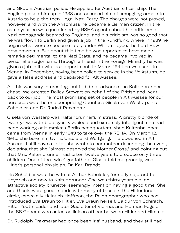e English s y th p g and Skubl's Austrian police. He applied for Austrian citizenship. The English picked him up in 1938 and accused him of smuggling arms into Austria to help the then illegal Nazi Party. The charges were not proved, however, and with the Anschluss he became a German citizen. In the same year he was questioned by RSHA agents about his criticism of Nazi propaganda beamed to England, and his criticism was so good that he was flown to Berlin and given a job in the Rundfunk, where in 1939 he began what were to become later, under William Joyce, the Lord Haw Haw programs. But about this time he was reported to have made remarks detrimental to the Nazi State, and he became involved in personal antagonisms. Through a friend in the Foreign Ministry he was given a job in its wireless department. In March 1944 he was sent to Vienna. In December, having been called to service in the Volksturm, he gave a false address and departed for Alt Aussee.

All this was very interesting, but it did not advance the Kaltenbrunner chase. We arrested Bailey-Stewart on behalf of the British and went back to our job. The most promising set of people in Alt Aussee for our purposes was the one comprising Countess Gisela von Westarp, Iris Scheidler, and Dr. Rudolf Praxmarar.

Gisela von Westarp was Kaltenbrunner's mistress. A pretty blonde of twenty-two with blue eyes, vivacious and extremely intelligent, she had been working at Himmler's Berlin headquarters when Kaltenbrunner came from Vienna in early 1943 to take over the RSHA. On March 12, 1945, she bore him twins, Ursula and Wolfgang, in a cowshed in Alt Aussee. I still have a letter she wrote to her mother describing the event, declaring that she "almost deserved the Mother Cross," and pointing out that Mrs. Kaltenbrunner had taken twelve years to produce only three children. One of the twins' godfathers, Gisela told me proudly, was Hitler's personal physician, Dr. Karl Brandt.

Iris Scheidler was the wife of Arthur Scheidler, formerly adjutant to Heydrich and now to Kaltenbrunner. She was thirty years old, an attractive society brunette, seemingly intent on having a good time. She and Gisela were good friends with many of those in the Hitler inner circle, especially Heinrich Hoffman, the Reich photographer who had introduced Eva Braun to Hitler, Eva Braun herself, Baldur von Schirach, Hitler Youth leader and later Gauleiter of Vienna, and Herman Fegelein, the SS General who acted as liaison officer between Hitler and Himmler.

Dr. Rudolph Praxmarar had once been Iris' husband, and they still had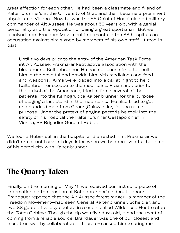great affection for each other. He had been a classmate and friend of Kaltenbrunner's at the University of Graz and then became a prominent physician in Vienna. Now he was the SS Chief of Hospitals and military commander of Alt Aussee. He was about 50 years old, with a genial personality and the reputation of being a great sportsman. But we received from Freedom Movement informants in the SS hospitals an accusation against him signed by members of his own staff. It read in part:

Until two days prior to the entry of the American Task Force int Alt Aussee, Praxmarar kept active association with the bloodhound Kaltenbrunner. He has not been afraid to shelter him in the hospital and provide him with medicines and food and weapons. Arms were loaded into a car at night to help Kaltenbrunner escape to the mountains. Praxmarar, prior to the arrival of the Americans, tried to force several of the patients into the Kampgruppe Kaltenbrunner for the purpose of staging a last stand in the mountains. He also tried to get one hundred men from Georg [Gaiswinkler] for the same purpose. Under the pretext of angina pectoris he took into the safety of his hospital the Kaltenbrunner Gestapo chief in Vienna, SS Brigadier General Huber.

We found Huber still in the hospital and arrested him. Praxmarar we didn't arrest until several days later, when we had received further proof of his complicity with Kaltenbrunner.

## **Te Quarry Taken**

Finally, on the morning of May 11, we received our first solid piece of information on the location of Kaltenbrunner's hideout. Johann Brandauer reported that the Alt Aussee forest ranger--a member of the Freedom Movement--had seen General Kaltenbrunner, Scheidler, and two SS guards five days before in a cabin called Wildensee Huette atop the Totes Gebirge. Though the tip was five days old, it had the merit of coming from a reliable source: Brandauer was one of our closest and most trustworthy collaborators. I therefore asked him to bring me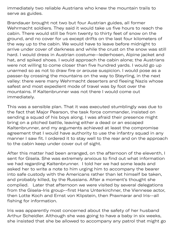immediately two reliable Austrians who knew the mountain trails to serve as guides.

Brandauer brought not two but four Austrian guides, all former Wehrmacht soldiers. They said it would take us five hours to reach the cabin. There would still be from twenty to thirty feet of snow on the ground, and no cover for us except drifts on the last four kilometers of the way up to the cabin. We would have to leave before midnight to arrive under cover of darkness and while the crust on the snow was still hard. I would dress in Austrian costume--lederhosen, Alpine jacket and hat, and spiked shoes. I would approach the cabin alone; the Austrians were not willing to come closer than five hundred yards. I would go up unarmed so as not to draw fire or arouse suspicion. I would pose as a passer-by crossing the mountains on the way to Steyrling, in the next valley: there were many Wehrmacht deserters and fleeing Nazis whose safest and most expedient mode of travel was by foot over the mountains. If Kaltenbrunner was not there I would come out immediately.

This was a sensible plan. That it was executed stumblingly was due to the fact that Major Pearson, the task force commander, insisted on sending a squad of his boys along. I was afraid their presence might bring on a pitched battle, leaving either a dead or an escaped Kaltenbrunner, and my arguments achieved at least the compromise agreement that I would have authority to use the infantry squad in any manner I saw fit. I ordered it to stay well to the rear and on the approach to the cabin keep under cover out of sight.

After this matter had been arranged, on the afternoon of the eleventh, I sent for Gisela. She was extremely anxious to find out what information we had regarding Kaltenbrunner. I told her we had some leads and asked her to write a note to him urging him to accompany the bearer into safe custody with the Americans rather than let himself be taken, and probably killed, by the Russians. After a moment's thought she complied. Later that afternoon we were visited by several delegations from the Gisela-Iris group--first Hans Unterkirchner, the Viennese actor, then Lotte Koch and Ernst von Klipstein, then Praxmarar and Iris--all fishing for information.

Iris was apparently most concerned about the safety of her husband Arthur Scheidler. Although she was going to have a baby in six weeks, she insisted that she be allowed to accompany any patrol that might go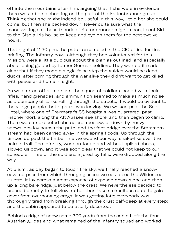$p$  and  $p$  and  $p$  and  $p$  the might group  $\mathcal{D}_\mathcal{D}$ off into the mountains after him, arguing that if she were in evidence there would be no shooting on the part of the Kaltenbrunner group. Thinking that she might indeed be useful in this way, I told her she could come; but then she backed down. Never quite sure what the maneuverings of these friends of Kaltenbrunner might mean, I sent Sid to the Gisela-Iris house to keep and eye on them for the next twelve hours.

That night at 11:30 p.m. the patrol assembled in the CIC office for final briefing. The infantry boys, although they had volunteered for this mission, were a little dubious about the plan as outlined, and especially about being guided by former German soldiers. They wanted it made clear that if they made a single false step the guides would be dead ducks; after coming through the war alive they didn't want to get killed with peace and home in sight.

As we started off at midnight the squad of soldiers loaded with their rifles, hand grenades, and ammunition seemed to make as much noise as a company of tanks rolling through the streets; it would be evident to the village people that a patrol was leaving. We walked past the See Hotel, where one of Praxmarar's SS hospitals was quartered, past Fischerndorf, along the Alt Ausseersee shore, and then began to climb. There were unexpected obstacles: trees swept down by heavy snowslides lay across the path, and the foot bridge over the Stammern stream had been carried away in the spring floods. Up through the timber, up past the timber line we wound our way, snake-like over the hairpin trail. The infantry, weapon-laden and without spiked shoes, slowed us down, and it was soon clear that we could not keep to our schedule. Three of the soldiers, injured by falls, were dropped along the way.

At 5 a.m., as day began to touch the sky, we finally reached a snowcovered pass from which through glasses we could see the Wildensee Huette. It lay across a great expanse of exposed down-slope and then up a long bare ridge, just below the crest. We nevertheless decided to proceed directly, in full view, rather than take a circuitous route to gain cover from overhanging crags. It was getting late; everybody was thoroughly tired from breaking through the crust calf-deep at every step; and the cabin appeared to be utterly deserted.

Behind a ridge of snow some 300 yards from the cabin I left the four Austrian guides and what remained of the infantry squad and worked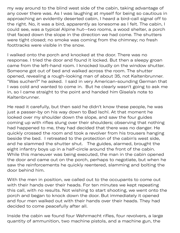my way around to the blind west side of the cabin, taking advantage of any cover there was. As I was laughing at myself for being so cautious in approaching an evidently deserted cabin, I heard a bird-call signal off to the right. No, it was a bird, apparently as lonesome as I felt. The cabin, I could see, was a typical Alpine hut--two rooms, a wood shelter, a porch that faced down the slope in the direction we had come. The shutters were tight closed; no smoke was coming from the chimney; no fresh foottracks were visible in the snow.

I walked onto the porch and knocked at the door. There was no response. I tried the door and found it locked. But then a sleepy groan came from the left-hand room. I knocked loudly on the window shutter. Someone got out of bed and walked across the room. The shutter opened, revealing a rough-looking man of about 35, not Kaltenbrunner. "Was suchen?" he asked. I said in very American-sounding German that I was cold and wanted to come in. But he clearly wasn't going to ask me in, so I came straight to the point and handed him Gisela's note to Kaltenbrunner.

He read it carefully, but then said he didn't know these people, he was just a passer-by on his way down to Bad Ischl. At that moment he looked over my shoulder down the slope, and saw the four guides coming up with rifles slung over their shoulders; observing that nothing had happened to me, they had decided that there was no danger. He quickly crossed the room and took a revolver from his trousers hanging beside the bed. I retreated to the protection of the cabin's west side, and he slammed the shutter shut. The guides, alarmed, brought the eight infantry boys up in a half-circle around the front of the cabin. While this maneuver was being executed, the man in the cabin opened the door and came out on the porch, perhaps to negotiate, but when he saw the reinforcements he quickly reentered, slamming and bolting the door behind him.

With the men in position, we called out to the occupants to come out with their hands over their heads. For ten minutes we kept repeating this call, with no results. Not wishing to start shooting, we went onto the porch and began to knock down the door. But immediately it opened and four men walked out with their hands over their heads. They had decided to come peacefully after all.

Inside the cabin we found four Wehrmacht rifles, four revolvers, a large quantity of ammunition, two machine pistols, and a machine gun, the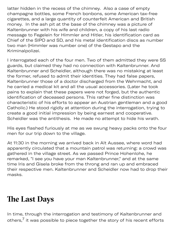$q$  of  $\mathcal{P}$  of  $\mathcal{P}$  of  $\mathcal{P}$  of  $\mathcal{P}$  of  $\mathcal{P}$  of  $\mathcal{P}$  of  $\mathcal{P}$  of  $\mathcal{P}$  of  $\mathcal{P}$  of  $\mathcal{P}$  of  $\mathcal{P}$  of  $\mathcal{P}$  of  $\mathcal{P}$  of  $\mathcal{P}$  of  $\mathcal{P}$  of  $\mathcal{P}$  of  $\mathcal{P}$  of  $\mathcal{P}$  o latter hidden in the recess of the chimney. Also a case of empty champagne bottles, some French bonbons, some American tax-free cigarettes, and a large quantity of counterfeit American and British money. In the ash pit at the base of the chimney was a picture of Kaltenbrunner with his wife and children, a copy of his last radio message to Fegelein for Himmler and Hitler, his identification card as Chief of the SIPO and SD, and his metal identification discs as number two man (Himmler was number one) of the Gestapo and the Kriminalpolizei.

I interrogated each of the four men. Two of them admitted they were SS guards, but claimed they had no connection with Kaltenbrunner. And Kaltenbrunner and Scheidler, although there was no mistaking at least the former, refused to admit their identities. They had false papers, Kaltenbrunner those of a doctor discharged from the Wehrmacht, and he carried a medical kit and all the usual accessories. (Later he took pains to explain that these papers were not forged, but the authentic identification of deceased persons. This rather fine distinction was characteristic of his efforts to appear an Austrian gentleman and a good Catholic.) He stood rigidly at attention during the interrogation, trying to create a good initial impression by being earnest and cooperative. Scheidler was the antithesis. He made no attempt to hide his wrath.

His eyes flashed furiously at me as we swung heavy packs onto the four men for our trip down to the village.

At 11:30 in the morning we arrived back in Alt Aussee, where word had apparently circulated that a mountain patrol was returning: a crowd was gathered in the village street. As we passed Prince Hohenlohe, he remarked, "I see you have your man Kaltenbrunner," and at the same time Iris and Gisela broke from the throng and ran up and embraced their respective men. Kaltenbrunner and Scheidler now had to drop their masks.

### **Te Last Days**

In time, through the interrogation and testimony of Kaltenbrunner and others, $7$  it was possible to piece together the story of his recent efforts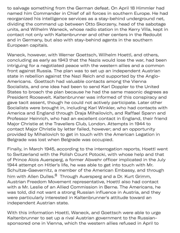to salvage something from the German defeat. On April 18 Himmler had named him Commander in Chief of all forces in southern Europe. He had reorganized his intelligence services as a stay-behind underground net, dividing the command up between Otto Skorzeny, head of the sabotage units, and Wilhelm Waneck, whose radio station in the Kerry Villa, kept in contact not only with Kaltenbrunner and other centers in the Redoubt and in Germany, but also with stay-behind agents in the southern European capitals.

Waneck, however, with Werner Goettsch, Wilhelm Hoettl, and others, concluding as early as 1943 that the Nazis would lose the war, had been intriguing for a negotiated peace with the western allies and a common front against Russia. The plan was to set up an independent Austrian state in rebellion against the Nazi Reich and supported by the Anglo-Americans. Goettsch had valuable contacts among the Vienna Socialists, and one idea had been to send Karl Doppler to the United States to broach the plan because he had the same masonic degrees as President Roosevelt. Kaltenbrunner was informed of this conspiracy and gave tacit assent, though he could not actively participate. Later other Socialists were brought in, including Karl Winkler, who had contacts with America and England through Draja Mihailovich, and Raffael Spann and Professor Heinrich, who had an excellent contact in England, their friend Major Christie at the Travellers Club, London. Attempts in 1944 to contact Major Christie by letter failed, however; and an opportunity provided by Mihailovich to get in touch with the American Legation in Belgrade was lost when Belgrade was occupied.

Finally, in March 1945, according to the interrogation reports, Hoettl went to Switzerland with the Polish Count Potocki, with whose help and that of Prince Alois Auersperg, a former Abwehr officer implicated in the July 1944 attempt on Hitler's life, he was able to get into touch with Mr. Schultze-Gaevernitz, a member of the American Embassy, and through him with Allen Dulles.<sup>8</sup> Through Auersperg and a Dr. Kurt Grimm, Austrian Freedom Movement representative, Hoettl also had contact with a Mr. Leslie of an Allied Commission in Berne. The Americans, he was told, did not want a strong Russian influence in Austria, and they were particularly interested in Kaltenbrunner's attitude toward an independent Austrian state.

With this information Hoettl, Waneck, and Goettsch were able to urge Kaltenbrunner to set up a rival Austrian government to the Russiansponsored one in Vienna, which the western allies refused in April to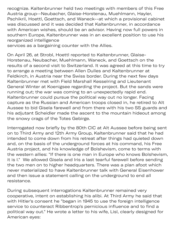recognize. Kaltenbrunner held two meetings with members of this Free Austria group--Neubacher, Glaise-Horstenau, Muehlmann, Hayler, Pschikril, Hoettl, Goettsch, and Waneck--at which a provisional cabinet was discussed and it was decided that Kaltenbrunner, in accordance with American wishes, should be an advisor. Having now full powers in southern Europe, Kaltenbrunner was in an excellent position to use his reorganized intelligence

sp d in April to the United States of the United States of the United States of the United States of the United

services as a bargaining counter with the Allies.

On April 26, at Strobl, Hoettl reported to Kaltenbrunner, Glaise-Horstenau, Neubacher, Muehlmann, Waneck, and Goettsch on the results of a second visit to Switzerland. It was agreed at this time to try to arrange a meeting between Allen Dulles and Kaltenbrunner at Feldkirch, in Austria near the Swiss border. During the next few days Kaltenbrunner met with Field Marshall Kesselring and Lieutenant General Winter at Koenigsee regarding the project. But the sands were running out; the war was coming to an unexpectedly rapid end. Kaltenbrunner could pursue the political way out no longer. Facing capture as the Russian and American troops closed in, he retired to Alt Aussee to bid Gisela farewell and from there with his two SS guards and his adjutant Scheidler made the ascent to the mountain hideout among the snowy crags of the Totes Gebirge.

Interrogated now briefly by the 80th CIC at Alt Aussee before being sent on to Third Army and 12th Army Group, Kaltenbrunner said that he had intended to come down from his retreat after things had quieted down and, on the basis of the underground forces at his command, his Free Austria project, and his knowledge of Bolshevism, come to terms with the western allies: "If there is one man in Europe who knows Bolshevism, it is I." We allowed Gisela and Iris a last tearful farewell before sending the two men on to higher headquarters. There was a plan afoot which never materialized to have Kaltenbrunner talk with General Eisenhower and then issue a statement calling on the underground to end all resistance.

During subsequent interrogations Kaltenbrunner remained very cooperative, intent on establishing his alibi. At Third Army he said that with Hitler's consent he "began in 1945 to use the foreign intelligence service to counteract Ribbentrop's pernicious influence and to find a political way out." He wrote a letter to his wife, Lisl, clearly designed for American eyes: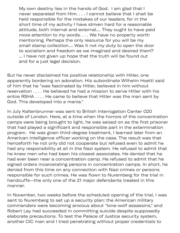My own destiny lies in the hands of God. I am glad that I never separated from Him. . . . I cannot believe that I shall be held responsible for the mistakes of our leaders, for in the short time of my activity I have striven hard for a reasonable attitude, both internal and external.... They ought to have paid more attention to my words. . . . We have no property worth mentioning. Perhaps the only resource for you will be my small stamp collection.... Was it not my duty to open the door to socialism and freedom as we imagined and desired them? ... I have not given up hope that the truth will be found out and for a just legal decision.

But he never disclaimed his positive relationship with Hitler, one apparently bordering on adoration. His subordinate Wilhelm Hoettl said of him that he "was fascinated by Hitler, believed in him without reservation . . . . He believed he had a mission to serve Hitler with his entire RSHA . . . . He came to believe that Hitler was the man sent by God. This developed into a mania."

In July Kaltenbrunner was sent to British Interrogation Center 020 outside of London. Here, at a time when the horrors of the concentration camps were being brought to light, he was seized on as the first prisoner that had played a significant and responsible part in the extermination program. He was given third-degree treatment, I learned later from an American intelligence officer working on the case. The result was that henceforth he not only did not cooperate but refused even to admit he had any responsibility at all in the Nazi system. He refused to admit that he knew men who had been his closest associates. He denied that he had ever been near a concentration camp. He refused to admit that he signed orders incarcerating persons in concentration camps. In short, he denied from this time on any connection with Nazi crimes or persons responsible for such crimes. He was flown to Nuremberg for the trial in handcuffs--the only one of the 21 major defendants treated in this manner.

In November, two weeks before the scheduled opening of the trial, I was sent to Nuremberg to set up a security plan: the American military commanders were becoming anxious about "lone-wolf assassins," and Robert Ley had succeeded in committing suicide despite supposedly elaborate precautions. To test the Palace of Justice security system, another CIC man and I tried penetrating without proper credentials to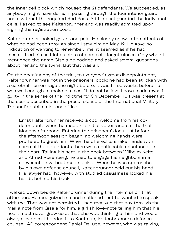the inner cell block which housed the 21 defendants. We succeeded, as anybody might have done, in passing through the four interior guard posts without the required Red Pass. A fifth post guarded the individual cells. I asked to see Kaltenbrunner and was readily admitted upon signing the registration book.

Kaltenbrunner looked gaunt and pale. He clearly showed the effects of what he had been through since I saw him on May 12. He gave no indication of wanting to remember, me; it seemed as if he had mesmerized himself into a state of complete forgetfulness. Only when I mentioned the name Gisela he nodded and asked several questions about her and the twins. But that was all.

On the opening day of the trial, to everyone's great disappointment, Kaltenbrunner was not in the prisoners' dock; he had been stricken with a cerebral hemorrhage the night before. It was three weeks before he was well enough to make his plea, "I do not believe I have made myself guilty in the sense of the indictment." On December 10 I was present at the scene described in the press release of the International Military Tribunal's public relations office:

Ernst Kaltenbrunner received a cool welcome from his codefendants when he made his initial appearance at the trial Monday afternoon. Entering the prisoners' dock just before the afternoon session began, no welcoming hands were proffered to greet him. When he offered to shake hands with some of the defendants there was a noticeable reluctance on their part. Taking his seat in the dock between Wilhelm Keitel and Alfred Rosenberg, he tried to engage his neighbors in a conversation without much luck. ... When he was approached by his own defense council, Kaltenbrunner held out his hand. His lawyer had, however, with studied casualness locked his hands behind his back.

I walked down beside Kaltenbrunner during the intermission that afternoon. He recognized me and motioned that he wanted to speak with me. That was not permitted. I had received that day through the mail a note from Gisela for him, a girlish love-note telling him that his heart must never grow cold, that she was thinking of him and would always love him. I handed it to Kaufman, Kaltenbrunner's defense counsel. AP correspondent Daniel DeLuce, however, who was talking